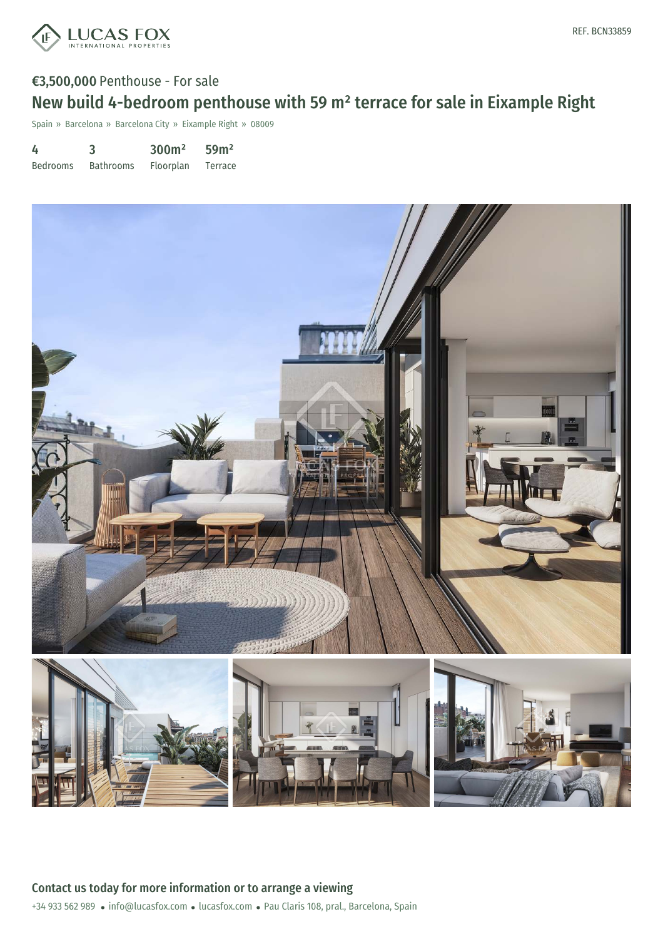

# €3,500,000 Penthouse - For sale New build 4-bedroom penthouse with 59 m² terrace for sale in Eixample Right

Spain » Barcelona » Barcelona City » Eixample Right » 08009

| 4               | 3                | 300 <sup>m²</sup> | 59 <sup>m²</sup> |
|-----------------|------------------|-------------------|------------------|
| <b>Bedrooms</b> | <b>Bathrooms</b> | Floorplan         | Terrace          |

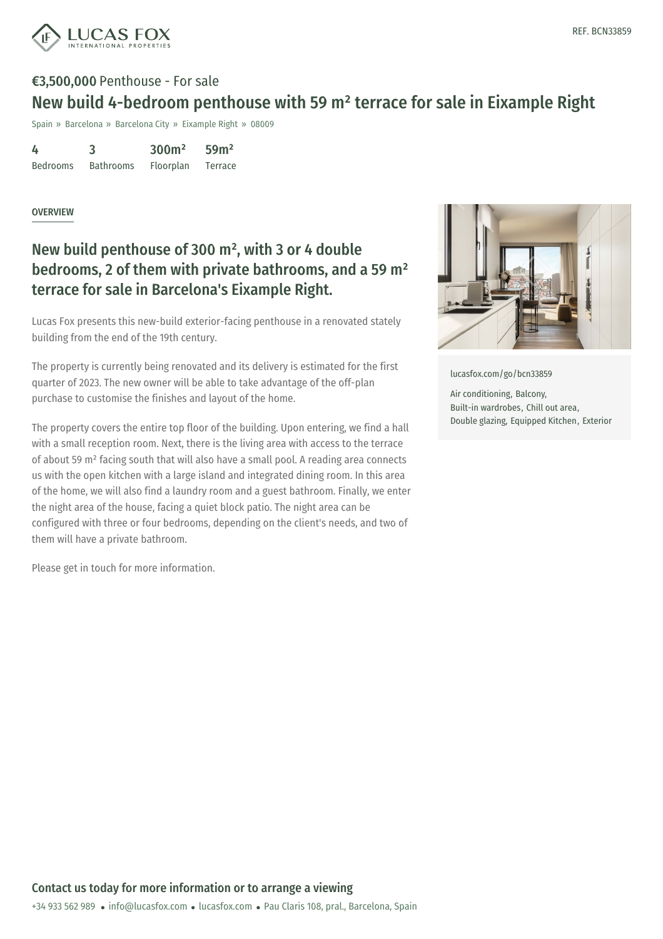

# €3,500,000 Penthouse - For sale New build 4-bedroom penthouse with 59 m² terrace for sale in Eixample Right

Spain » Barcelona » Barcelona City » Eixample Right » 08009

| 4               | 3                | 300 <sup>m²</sup> | 59 <sup>m²</sup> |
|-----------------|------------------|-------------------|------------------|
| <b>Bedrooms</b> | <b>Bathrooms</b> | Floorplan         | Terrace          |

#### OVERVIEW

### New build penthouse of 300 m² , with 3 or 4 double bedrooms, 2 of them with private bathrooms, and a 59 m² terrace for sale in Barcelona's Eixample Right.

Lucas Fox presents this new-build exterior-facing penthouse in a renovated stately building from the end of the 19th century.

The property is currently being renovated and its delivery is estimated for the first quarter of 2023. The new owner will be able to take advantage of the off-plan purchase to customise the finishes and layout of the home.

The property covers the entire top floor of the building. Upon entering, we find a hall with a small reception room. Next, there is the living area with access to the terrace of about 59 m² facing south that will also have a small pool. A reading area connects us with the open kitchen with a large island and integrated dining room. In this area of the home, we will also find a laundry room and a guest bathroom. Finally, we enter the night area of the house, facing a quiet block patio. The night area can be configured with three or four bedrooms, depending on the client's needs, and two of them will have a private bathroom.

Please get in touch for more information.



[lucasfox.com/go/bcn33859](https://www.lucasfox.com/go/bcn33859)

Air conditioning, Balcony, Built-in wardrobes, Chill out area, Double glazing, Equipped Kitchen, Exterior